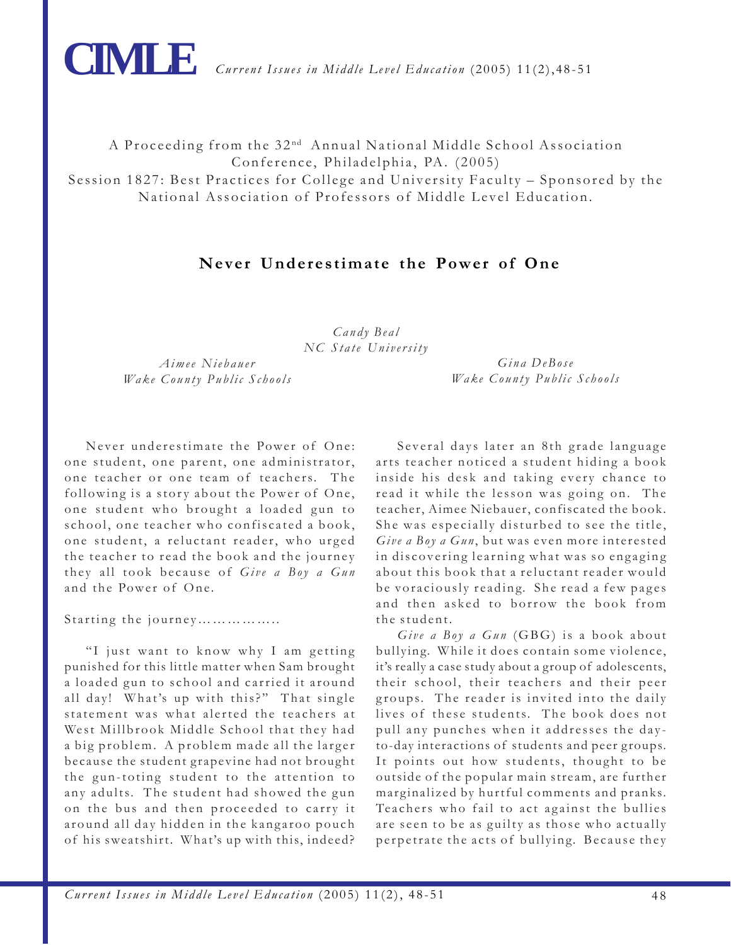

A Proceeding from the 32<sup>nd</sup> Annual National Middle School Association Conference, Philadelphia, PA. (2005) Session 1827: Best Practices for College and University Faculty – Sponsored by the National Association of Professors of Middle Level Education.

## **Never Underestimate the Power of One**

*Candy Beal NC State University*

*Aimee Niebauer Wake County Public Schools*

*Gina DeBose Wake County Public Schools*

Never underestimate the Power of One: one student, one parent, one administrator, one teacher or one team of teachers. The following is a story about the Power of One, one student who brought a loaded gun to school, one teacher who confiscated a book, one student, a reluctant reader, who urged the teacher to read the book and the journey they all took because of *Give a Boy a Gun* and the Power of One.

Starting the journey……………..

"I just want to know why I am getting punished for this little matter when Sam brought a loaded gun to school and carried it around all day! What's up with this?" That single statement was what alerted the teachers at West Millbrook Middle School that they had a big problem. A problem made all the larger because the student grapevine had not brought the gun-toting student to the attention to any adults. The student had showed the gun on the bus and then proceeded to carry it around all day hidden in the kangaroo pouch of his sweatshirt. What's up with this, indeed?

Several days later an 8th grade language arts teacher noticed a student hiding a book inside his desk and taking every chance to read it while the lesson was going on. The teacher, Aimee Niebauer, confiscated the book. She was especially disturbed to see the title, Give a Boy a Gun, but was even more interested in discovering learning what was so engaging about this book that a reluctant reader would be voraciously reading. She read a few pages and then asked to borrow the book from the student.

*Give a Boy a Gun* (GBG) is a book about bullying. While it does contain some violence, it's really a case study about a group of adolescents, their school, their teachers and their peer groups. The reader is invited into the daily lives of these students. The book does not pull any punches when it addresses the dayto-day interactions of students and peer groups. It points out how students, thought to be outside of the popular main stream, are further marginalized by hurtful comments and pranks. Teachers who fail to act against the bullies are seen to be as guilty as those who actually perpetrate the acts of bullying. Because they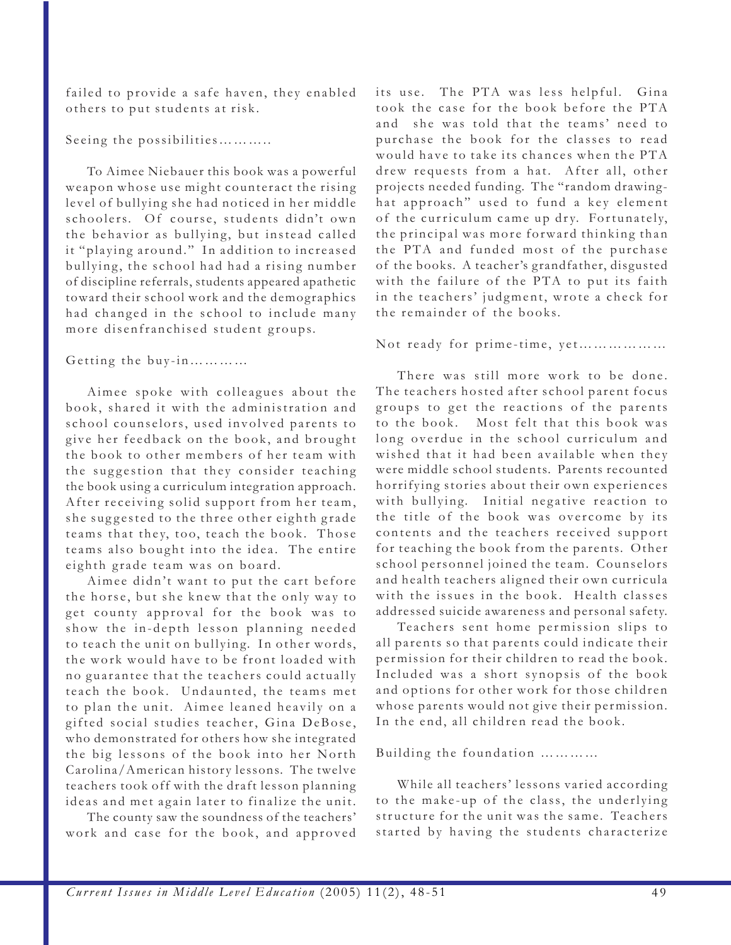failed to provide a safe haven, they enabled others to put students at risk.

Seeing the possibilities………..

To Aimee Niebauer this book was a powerful weapon whose use might counteract the rising level of bullying she had noticed in her middle schoolers. Of course, students didn't own the behavior as bullying, but instead called it "playing around." In addition to increased bullying, the school had had a rising number of discipline referrals, students appeared apathetic toward their school work and the demographics had changed in the school to include many more disenfranchised student groups.

## Getting the buy-in…………

Aimee spoke with colleagues about the book, shared it with the administration and school counselors, used involved parents to give her feedback on the book, and brought the book to other members of her team with the suggestion that they consider teaching the book using a curriculum integration approach. After receiving solid support from her team, she suggested to the three other eighth grade teams that they, too, teach the book. Those teams also bought into the idea. The entire eighth grade team was on board.

Aimee didn't want to put the cart before the horse, but she knew that the only way to get county approval for the book was to show the in-depth lesson planning needed to teach the unit on bullying. In other words, the work would have to be front loaded with no guarantee that the teachers could actually teach the book. Undaunted, the teams met to plan the unit. Aimee leaned heavily on a gifted social studies teacher, Gina DeBose, who demonstrated for others how she integrated the big lessons of the book into her North Carolina/American history lessons. The twelve teachers took off with the draft lesson planning ideas and met again later to finalize the unit.

The county saw the soundness of the teachers' work and case for the book, and approved its use. The PTA was less helpful. Gina took the case for the book before the PTA and she was told that the teams' need to purchase the book for the classes to read would have to take its chances when the PTA drew requests from a hat. After all, other projects needed funding. The "random drawinghat approach" used to fund a key element of the curriculum came up dry. Fortunately, the principal was more forward thinking than the PTA and funded most of the purchase of the books. A teacher's grandfather, disgusted with the failure of the PTA to put its faith in the teachers' judgment, wrote a check for the remainder of the books.

## Not ready for prime-time, yet………………

There was still more work to be done. The teachers hosted after school parent focus groups to get the reactions of the parents to the book. Most felt that this book was long overdue in the school curriculum and wished that it had been available when they were middle school students. Parents recounted horrifying stories about their own experiences with bullying. Initial negative reaction to the title of the book was overcome by its contents and the teachers received support for teaching the book from the parents. Other school personnel joined the team. Counselors and health teachers aligned their own curricula with the issues in the book. Health classes addressed suicide awareness and personal safety.

Teachers sent home permission slips to all parents so that parents could indicate their permission for their children to read the book. Included was a short synopsis of the book and options for other work for those children whose parents would not give their permission. In the end, all children read the book.

## Building the foundation …………

While all teachers' lessons varied according to the make-up of the class, the underlying structure for the unit was the same. Teachers started by having the students characterize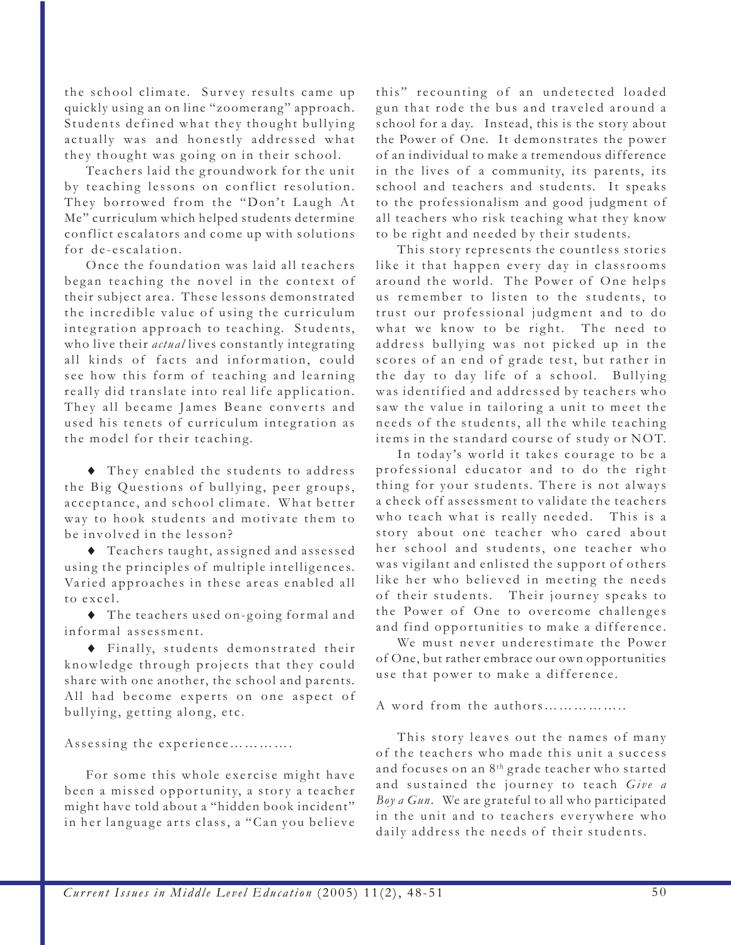the school climate. Survey results came up quickly using an on line "zoomerang" approach. Students defined what they thought bullying actually was and honestly addressed what they thought was going on in their school.

Teachers laid the groundwork for the unit by teaching lessons on conflict resolution. They borrowed from the "Don't Laugh At Me" curriculum which helped students determine conflict escalators and come up with solutions for de-escalation.

Once the foundation was laid all teachers began teaching the novel in the context of their subject area. These lessons demonstrated the incredible value of using the curriculum integration approach to teaching. Students, who live their *actual* lives constantly integrating all kinds of facts and information, could see how this form of teaching and learning really did translate into real life application. They all became James Beane converts and used his tenets of curriculum integration as the model for their teaching.

♦ They enabled the students to address the Big Questions of bullying, peer groups, acceptance, and school climate. What better way to hook students and motivate them to be involved in the lesson?

♦ Teachers taught, assigned and assessed using the principles of multiple intelligences. Varied approaches in these areas enabled all to excel.

♦ The teachers used on-going formal and informal assessment.

♦ Finally, students demonstrated their knowledge through projects that they could share with one another, the school and parents. All had become experts on one aspect of bullying, getting along, etc.

Assessing the experience………….

For some this whole exercise might have been a missed opportunity, a story a teacher might have told about a "hidden book incident" in her language arts class, a "Can you believe this" recounting of an undetected loaded gun that rode the bus and traveled around a school for a day. Instead, this is the story about the Power of One. It demonstrates the power of an individual to make a tremendous difference in the lives of a community, its parents, its school and teachers and students. It speaks to the professionalism and good judgment of all teachers who risk teaching what they know to be right and needed by their students.

This story represents the countless stories like it that happen every day in classrooms around the world. The Power of One helps us remember to listen to the students, to trust our professional judgment and to do what we know to be right. The need to address bullying was not picked up in the scores of an end of grade test, but rather in the day to day life of a school. Bullying was identified and addressed by teachers who saw the value in tailoring a unit to meet the needs of the students, all the while teaching items in the standard course of study or NOT.

In today's world it takes courage to be a professional educator and to do the right thing for your students. There is not always a check off assessment to validate the teachers who teach what is really needed. This is a story about one teacher who cared about her school and students, one teacher who was vigilant and enlisted the support of others like her who believed in meeting the needs of their students. Their journey speaks to the Power of One to overcome challenges and find opportunities to make a difference.

We must never underestimate the Power of One, but rather embrace our own opportunities use that power to make a difference.

A word from the authors……………..

This story leaves out the names of many of the teachers who made this unit a success and focuses on an 8th grade teacher who started and sustained the journey to teach *Give a Boy a Gun*. We are grateful to all who participated in the unit and to teachers everywhere who daily address the needs of their students.